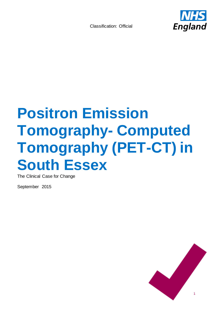

# **Positron Emission Tomography- Computed Tomography (PET-CT) in South Essex**

The Clinical Case for Change

September 2015

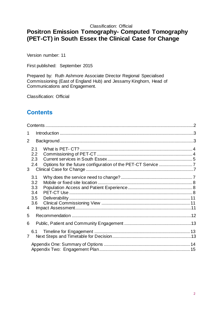## **Positron Emission Tomography- Computed Tomography (PET-CT) in South Essex the Clinical Case for Change**

Version number: 11

First published: September 2015

Prepared by: Ruth Ashmore Associate Director Regional Specialised Commissioning (East of England Hub) and Jessamy Kinghorn, Head of Communications and Engagement.

Classification: Official

## <span id="page-1-0"></span>**Contents**

| 1.             |                          |  |
|----------------|--------------------------|--|
| 2              |                          |  |
| 3 <sup>1</sup> | 2.1<br>2.2<br>2.3<br>2.4 |  |
|                | 3.1<br>3.2<br>3.3<br>3.4 |  |
| 4              | 3.5<br>3.6               |  |
| 5              |                          |  |
| 6              |                          |  |
| $\overline{7}$ | 6.1                      |  |
|                |                          |  |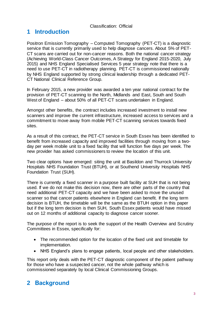## <span id="page-2-0"></span>**1 Introduction**

Positron Emission Tomography – Computed Tomography (PET-CT) is a diagnostic service that is currently primarily used to help diagnose cancers. About 5% of PET-CT scans are carried out for non-cancer reasons. Both the national cancer strategy (Achieving World-Class Cancer Outcomes, A Strategy for England 2015-2020, July 2015) and NHS England Specialised Services 5 year strategy note that there is a need to use PET-CT in radiotherapy planning. PET-CT is commissioned nationally by NHS England supported by strong clinical leadership through a dedicated PET-CT National Clinical Reference Group.

In February 2015, a new provider was awarded a ten year national contract for the provision of PET-CT scanning to the North, Midlands and East, South and South West of England – about 50% of all PET-CT scans undertaken in England.

Amongst other benefits, the contract includes increased investment to install new scanners and improve the current infrastructure, increased access to services and a commitment to move away from mobile PET-CT scanning services towards fixed sites.

As a result of this contract, the PET-CT service in South Essex has been identified to benefit from increased capacity and improved facilities through moving from a twoday per week mobile unit to a fixed facility that will function five days per week. The new provider has asked commissioners to review the location of this unit.

Two clear options have emerged: siting the unit at Basildon and Thurrock University Hospitals NHS Foundation Trust (BTUH), or at Southend University Hospitals NHS Foundation Trust (SUH).

There is currently a fixed scanner in a purpose built facility at SUH that is not being used. If we do not make this decision now, there are other parts of the country that need additional PET-CT capacity and we have been asked to move the unused scanner so that cancer patients elsewhere in England can benefit. If the long term decision is BTUH, the timetable will be the same as the BTUH option in this paper but if the long term decision is then SUH, South Essex patients would have missed out on 12 months of additional capacity to diagnose cancer sooner.

The purpose of the report is to seek the support of the Health Overview and Scrutiny Committees in Essex, specifically for:

- The recommended option for the location of the fixed unit and timetable for implementation.
- NHS England's plans to engage patients, local people and other stakeholders.

This report only deals with the PET-CT diagnostic component of the patient pathway for those who have a suspected cancer, not the whole pathway which is commissioned separately by local Clinical Commissioning Groups.

## <span id="page-2-1"></span>**2 Background**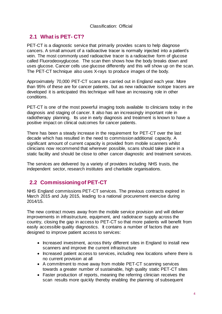## <span id="page-3-0"></span>**2.1 What is PET- CT?**

PET-CT is a diagnostic service that primarily provides scans to help diagnose cancers. A small amount of a radioactive tracer is normally injected into a patient's vein. The most commonly used radioactive tracer is a radioactive form of glucose called Fluorodeoxyglucose. The scan then shows how the body breaks down and uses glucose. Cancer cells use glucose differently and this will show up on the scan. The PET-CT technique also uses X-rays to produce images of the body.

Approximately 70,000 PET-CT scans are carried out in England each year. More than 95% of these are for cancer patients, but as new radioactive isotope tracers are developed it is anticipated this technique will have an increasing role in other conditions.

PET-CT is one of the most powerful imaging tools available to clinicians today in the diagnosis and staging of cancer. It also has an increasingly important role in radiotherapy planning. Its use in early diagnosis and treatment is known to have a positive impact on clinical outcomes for cancer patients.

There has been a steady increase in the requirement for PET-CT over the last decade which has resulted in the need to commission additional capacity. A significant amount of current capacity is provided from mobile scanners whilst clinicians now recommend that wherever possible, scans should take place in a static facility and should be close to other cancer diagnostic and treatment services.

The services are delivered by a variety of providers including NHS trusts, the independent sector, research institutes and charitable organisations.

## <span id="page-3-1"></span>**2.2 Commissioning of PET-CT**

NHS England commissions PET-CT services. The previous contracts expired in March 2015 and July 2015, leading to a national procurement exercise during 2014/15.

The new contract moves away from the mobile service provision and will deliver improvements in infrastructure, equipment, and radiotracer supply across the country, closing the gap in access to PET-CT so that more patients will benefit from easily accessible quality diagnostics. It contains a number of factors that are designed to improve patient access to services:

- Increased investment, across thirty different sites in England to install new scanners and improve the current infrastructure
- Increased patient access to services, including new locations where there is no current provision at all
- A commitment to move away from mobile PET-CT scanning services towards a greater number of sustainable, high quality static PET-CT sites
- Faster production of reports, meaning the referring clinician receives the scan results more quickly thereby enabling the planning of subsequent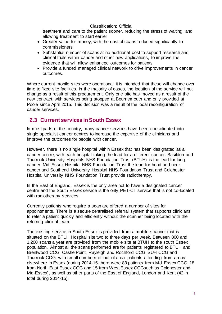treatment and care to the patient sooner, reducing the stress of waiting, and allowing treatment to start earlier

- Greater value for money, with the cost of scans reduced significantly to commissioners
- Substantial number of scans at no additional cost to support research and clinical trials within cancer and other new applications, to improve the evidence that will allow enhanced outcomes for patients
- Provide a funded managed clinical network to drive improvements in cancer outcomes.

Where current mobile sites were operational it is intended that these will change over time to fixed site facilities. In the majority of cases, the location of the service will not change as a result of this procurement. Only one site has moved as a result of the new contract, with services being stopped at Bournemouth and only provided at Poole since April 2015. This decision was a result of the local reconfiguration of cancer services.

## <span id="page-4-0"></span>**2.3 Current services in South Essex**

In most parts of the country, many cancer services have been consolidated into single specialist cancer centres to increase the expertise of the clinicians and improve the outcomes for people with cancer.

However, there is no single hospital within Essex that has been designated as a cancer centre, with each hospital taking the lead for a different cancer. Basildon and Thurrock University Hospitals NHS Foundation Trust (BTUH) is the lead for lung cancer, Mid Essex Hospital NHS Foundation Trust the lead for head and neck cancer and Southend University Hospital NHS Foundation Trust and Colchester Hospital University NHS Foundation Trust provide radiotherapy.

In the East of England, Essex is the only area not to have a designated cancer centre and the South Essex service is the only PET-CT service that is not co-located with radiotherapy services.

Currently patients who require a scan are offered a number of sites for appointments. There is a secure centralised referral system that supports clinicians to refer a patient quickly and efficiently without the scanner being located with the referring clinical team.

The existing service in South Essex is provided from a mobile scanner that is situated on the BTUH Hospital site two to three days per week. Between 800 and 1,200 scans a year are provided from the mobile site at BTUH to the south Essex population. Almost all the scans performed are for patients registered to BTUH and Brentwood CCG, Castle Point, Rayleigh and Rochford CCG, SUH CCG and Thurrock CCG, with small numbers of 'out of area' patients attending from areas elsewhere in Essex (during 2014-15 there were 83 patients from Mid Essex CCG, 18 from North East Essex CCG and 15 from West Essex CCGsuch as Colchester and Mid-Essex), as well as other parts of the East of England, London and Kent (42 in total during 2014-15).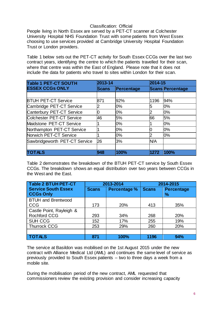People living in North Essex are served by a PET-CT scanner at Colchester University Hospital NHS Foundation Trust with some patients from West Essex choosing to use services provided at Cambridge University Hospital Foundation Trust or London providers.

Table 1 below sets out the PET-CT activity for South Essex CCGs over the last two contract years, identifying the centre to which the patients travelled for their scan, where that centre was within the East of England. Please note that it does not include the data for patients who travel to sites within London for their scan.

| <b>Table 1 PET-CT SOUTH</b>   | 2013-14      |            |      | 2014-15                 |  |
|-------------------------------|--------------|------------|------|-------------------------|--|
| <b>ESSEX CCGs ONLY</b>        | <b>Scans</b> | Percentage |      | <b>Scans Percentage</b> |  |
|                               |              |            |      |                         |  |
| <b>BTUH PET-CT Service</b>    | 871          | 92%        | 1196 | 94%                     |  |
| Cambridge PET-CT Service      |              | 0%         | 5    | 0%                      |  |
| Canterbury PET-CT Service     |              | 0%         |      | 0%                      |  |
| Colchester PET-CT Service     | 46           | 5%         | 66   | 5%                      |  |
| Maidstone PET-CT Service      |              | 0%         |      | 0%                      |  |
| Northampton PET-CT Service    |              | 0%         |      | 0%                      |  |
| Norwich PET-CT Service        |              | 0%         |      | 0%                      |  |
| Sawbridgeworth PET-CT Service | 26           | 3%         | N/A  |                         |  |
|                               |              |            |      |                         |  |
| <b>TOTALS</b>                 | 948          | 100%       | 1272 | 100%                    |  |

Table 2 demonstrates the breakdown of the BTUH PET-CT service by South Essex CCGs. The breakdown shows an equal distribution over two years between CCGs in the West and the East.

| Table 2 BTUH PET-CT                            | 2013-2014    |                     | 2014-2015    |                                    |
|------------------------------------------------|--------------|---------------------|--------------|------------------------------------|
| <b>Service South Essex</b><br><b>CCGs Only</b> | <b>Scans</b> | <b>Percentage %</b> | <b>Scans</b> | <b>Percentage</b><br>$\frac{9}{6}$ |
| <b>BTUH and Brentwood</b>                      |              |                     |              |                                    |
| <b>CCG</b>                                     | 173          | 20%                 | 413          | 35%                                |
| Castle Point, Rayleigh &                       |              |                     |              |                                    |
| <b>Rochford CCG</b>                            | 293          | 34%                 | 268          | 20%                                |
| <b>SUH CCG</b>                                 | 152          | 17%                 | 255          | 19%                                |
| <b>Thurrock CCG</b>                            | 253          | 29%                 | 260          | 20%                                |
|                                                |              |                     |              |                                    |
| <b>TOTALS</b>                                  | 871          | 100%                | 1196         | 94%                                |

The service at Basildon was mobilised on the 1st August 2015 under the new contract with Alliance Medical Ltd (AML) and continues the same level of service as previously provided to South Essex patients – two to three days a week from a mobile site.

During the mobilisation period of the new contract, AML requested that commissioners review the existing provision and consider increasing capacity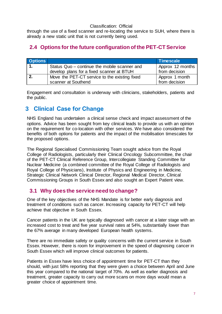through the use of a fixed scanner and re-locating the service to SUH, where there is already a new static unit that is not currently being used.

## <span id="page-6-0"></span>**2.4 Options for the future configuration of the PET-CT Service**

| <b>Options</b> |                                               | <b>Timescale</b> |
|----------------|-----------------------------------------------|------------------|
|                | Status Quo - continue the mobile scanner and  | Approx 12 months |
|                | develop plans for a fixed scanner at BTUH     | from decision    |
|                | Move the PET-CT service to the existing fixed | Approx 1 month   |
|                | scanner at Southend                           | from decision    |

Engagement and consultation is underway with clinicians, stakeholders, patients and the public.

## <span id="page-6-1"></span>**3 Clinical Case for Change**

NHS England has undertaken a clinical sense check and impact assessment of the options. Advice has been sought from key clinical leads to provide us with an opinion on the requirement for co-location with other services. We have also considered the benefits of both options for patients and the impact of the mobilisation timescales for the proposed options.

The Regional Specialised Commissioning Team sought advice from the Royal College of Radiologists, particularly their Clinical Oncology Subcommittee, the chair of the PET-CT Clinical Reference Group, Intercollegiate Standing Committee for Nuclear Medicine (a combined committee of the Royal College of Radiologists and Royal College of Physicians), Institute of Physics and Engineering in Medicine, Strategic Clinical Network Clinical Director, Regional Medical Director, Clinical Commissioning Groups in South Essex and also sought an Expert Patient view.

## <span id="page-6-2"></span>**3.1 Why does the service need to change?**

One of the key objectives of the NHS Mandate is for better early diagnosis and treatment of conditions such as cancer. Increasing capacity for PET-CT will help achieve that objective in South Essex.

Cancer patients in the UK are typically diagnosed with cancer at a later stage with an increased cost to treat and five year survival rates at 54%, substantially lower than the 67% average in many developed European health systems.

There are no immediate safety or quality concerns with the current service in South Essex. However, there is room for improvement in the speed of diagnosing cancer in South Essex which will improve clinical outcomes for patients.

Patients in Essex have less choice of appointment time for PET-CT than they should, with just 58% reporting that they were given a choice between April and June this year compared to the national target of 70%. As well as earlier diagnosis and treatment, greater capacity to carry out more scans on more days would mean a greater choice of appointment time.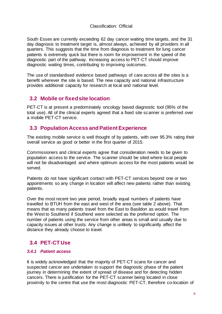South Essex are currently exceeding 62 day cancer waiting time targets, and the 31 day diagnosis to treatment target is, almost always, achieved by all providers in all quarters. This suggests that the time from diagnosis to treatment for lung cancer patients is extremely quick but there is room for improvement in the speed of the diagnostic part of the pathway. Increasing access to PET-CT should improve diagnostic waiting times, contributing to improving outcomes.

The use of standardised evidence based pathways of care across all the sites is a benefit wherever the site is based. The new capacity and national infrastructure provides additional capacity for research at local and national level.

## <span id="page-7-0"></span>**3.2 Mobile or fixed site location**

PET-CT is at present a predominately oncology based diagnostic tool (95% of the total use). All of the clinical experts agreed that a fixed site scanner is preferred over a mobile PET-CT service.

## <span id="page-7-1"></span>**3.3 Population Access and Patient Experience**

The existing mobile service is well thought of by patients, with over 95.3% rating their overall service as good or better in the first quarter of 2015.

Commissioners and clinical experts agree that consideration needs to be given to population access to the service. The scanner should be sited where local people will not be disadvantaged and where optimum access for the most patients would be served.

Patients do not have significant contact with PET-CT services beyond one or two appointments so any change in location will affect new patients rather than existing patients.

Over the most recent two year period, broadly equal numbers of patients have travelled to BTUH from the east and west of the area (see table 2 above). That means that as many patients travel from the East to Basildon as would travel from the West to Southend if Southend were selected as the preferred option. The number of patients using the service from other areas is small and usually due to capacity issues at other trusts. Any change is unlikely to significantly affect the distance they already choose to travel.

## <span id="page-7-2"></span>**3.4 PET-CT Use**

#### *3.4.1 Patient access*

It is widely acknowledged that the majority of PET-CT scans for cancer and suspected cancer are undertaken to support the diagnostic phase of the patient journey in determining the extent of spread of disease and for detecting hidden cancers. There is justification for the PET-CT scanner being located in close proximity to the centre that use the most diagnostic PET-CT, therefore co-location of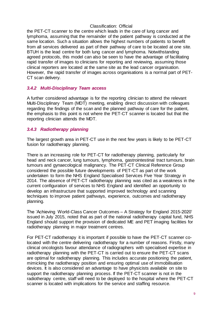the PET-CT scanner to the centre which leads in the care of lung cancer and lymphoma, assuming that the remainder of the patient pathway is conducted at the same location. Such a situation allows the highest numbers of patients to benefit from all services delivered as part of their pathway of care to be located at one site. BTUH is the lead centre for both lung cancer and lymphoma. Notwithstanding agreed protocols, this model can also be seen to have the advantage of facilitating rapid transfer of images to clinicians for reporting and reviewing, assuming those clinical reporters are located at the same site as the lead cancer organisation. However, the rapid transfer of images across organisations is a normal part of PET-CT scan delivery.

#### *3.4.2 Multi-Disciplinary Team access*

A further considered advantage is for the reporting clinician to attend the relevant Multi-Disciplinary Team (MDT) meeting, enabling direct discussion with colleagues regarding the findings of the scan and the planned pathway of care for the patient, the emphasis to this point is not where the PET-CT scanner is located but that the reporting clinician attends the MDT.

#### *3.4.3 Radiotherapy planning*

The largest growth area in PET-CT use in the next few years is likely to be PET-CT fusion for radiotherapy planning.

There is an increasing role for PET-CT for radiotherapy planning, particularly for head and neck cancer, lung tumours, lymphoma, gastrointestinal tract tumours, brain tumours and gynaecological malignancy. The PET-CT Clinical Reference Group considered the possible future developments of PET-CT as part of the work undertaken to form the NHS England Specialised Services Five Year Strategy in 2014. The absence of PET-CT radiotherapy planning was cited as a weakness in the current configuration of services to NHS England and identified an opportunity to develop an infrastructure that supported improved technology and scanning techniques to improve patient pathways, experience, outcomes and radiotherapy planning.

The 'Achieving World-Class Cancer Outcomes – A Strategy for England 2015-2020' issued in July 2015, noted that as part of the national radiotherapy capital fund, NHS England should support the provision of dedicated ME and PET imaging facilities for radiotherapy planning in major treatment centres.

For PET-CT radiotherapy it is important if possible to have the PET-CT scanner colocated with the centre delivering radiotherapy for a number of reasons. Firstly, many clinical oncologists favour attendance of radiographers with specialised expertise in radiotherapy planning with the PET-CT is carried out to ensure the PET-CT scans are optimal for radiotherapy planning. This includes accurate positioning the patient, mimicking the radiotherapy position and ensuring optimal use of immobilisation devices. It is also considered an advantage to have physicists available on site to support the radiotherapy planning process. If the PET-CT scanner is not in the radiotherapy centre, staff will need to be deployed to the hospital where the PET-CT scanner is located with implications for the service and staffing resource.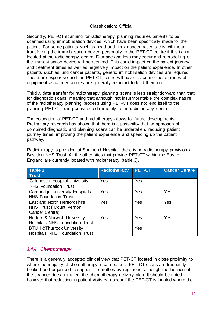Secondly, PET-CT scanning for radiotherapy planning requires patients to be scanned using immobilisation devices, which have been specifically made for the patient. For some patients such as head and neck cancer patients this will mean transferring the immobilisation device personally to the PET-CT centre if this is not located at the radiotherapy centre. Damage and loss may occur and remodelling of the immobilisation device will be required. This could impact on the patient journey and treatment times as well as negatively impact on the patient experience. In other patients such as lung cancer patients, generic immobilisation devices are required. These are expensive and the PET-CT centre will have to acquire these pieces of equipment as cancer centres are generally reluctant to lend them out.

Thirdly, data transfer for radiotherapy planning scans is less straightforward than that for diagnostic scans, meaning that although not insurmountable the complex nature of the radiotherapy planning process using PET-CT does not lend itself to the planning PET-CT being constructed remotely to the radiotherapy centre.

The colocation of PET-CT and radiotherapy allows for future developments. Preliminary research has shown that there is a possibility that an approach of combined diagnostic and planning scans can be undertaken, reducing patient journey times, improving the patient experience and speeding up the patient pathway.

Radiotherapy is provided at Southend Hospital, there is no radiotherapy provision at Basildon NHS Trust. All the other sites that provide PET-CT within the East of England are currently located with radiotherapy (table 3).

| Table 3                               | <b>Radiotherapy</b> | <b>PET-CT</b> | <b>Cancer Centre</b> |
|---------------------------------------|---------------------|---------------|----------------------|
| <b>Trust</b>                          |                     |               |                      |
| <b>Colchester Hospital University</b> | Yes                 | Yes           |                      |
| <b>NHS Foundation Trust</b>           |                     |               |                      |
| <b>Cambridge University Hospitals</b> | Yes                 | Yes           | Yes                  |
| <b>NHS Foundation Trust</b>           |                     |               |                      |
| East and North Hertfordshire          | Yes                 | Yes           | Yes                  |
| NHS Trust (Mount Vernon               |                     |               |                      |
| Cancer Centre)                        |                     |               |                      |
| Norfolk & Norwich University          | Yes                 | Yes           | Yes                  |
| <b>Hospitals NHS Foundation Trust</b> |                     |               |                      |
| <b>BTUH &amp; Thurrock University</b> |                     | Yes           |                      |
| Hospitals NHS Foundation Trust        |                     |               |                      |

#### *3.4.4 Chemotherapy*

There is a generally accepted clinical view that PET-CT located in close proximity to where the majority of chemotherapy is carried out. PET-CT scans are frequently booked and organised to support chemotherapy regimens, although the location of the scanner does not affect the chemotherapy delivery plan. It should be noted however that reduction in patient visits can occur if the PET-CT is located where the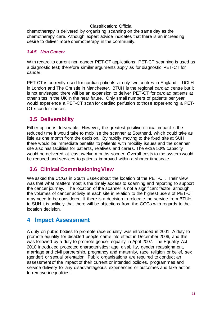chemotherapy is delivered by organising scanning on the same day as the chemotherapy care. Although expert advice indicates that there is an increasing desire to deliver more chemotherapy in the community.

#### *3.4.5 Non Cancer*

With regard to current non cancer PET-CT applications, PET-CT scanning is used as a diagnostic test; therefore similar arguments apply as for diagnostic PET-CT for cancer.

PET-CT is currently used for cardiac patients at only two centres in England – UCLH in London and The Christie in Manchester. BTUH is the regional cardiac centre but it is not envisaged there will be an expansion to deliver PET-CT for cardiac patients at other sites in the UK in the near future. Only small numbers of patients per year would experience a PET-CT scan for cardiac perfusion to those experiencing a PET-CT scan for cancer.

## <span id="page-10-0"></span>**3.5 Deliverability**

Either option is deliverable. However, the greatest positive clinical impact is the reduced time it would take to mobilise the scanner at Southend, which could take as little as one month from the decision. By rapidly moving to the fixed site at SUH there would be immediate benefits to patients with mobility issues and the scanner site also has facilities for patients, relatives and carers. The extra 50% capacity would be delivered at least twelve months sooner. Overall costs to the system would be reduced and services to patients improved within a shorter timescale.

#### <span id="page-10-1"></span>**3.6 Clinical Commissioning View**

We asked the CCGs in South Essex about the location of the PET-CT. Their view was that what matters most is the timely access to scanning and reporting to support the cancer journey. The location of the scanner is not a significant factor, although the volumes of cancer activity at each site in relation to the highest users of PET-CT may need to be considered. If there is a decision to relocate the service from BTUH to SUH it is unlikely that there will be objections from the CCGs with regards to the location decision.

## <span id="page-10-2"></span>**4 Impact Assessment**

A duty on public bodies to promote race equality was introduced in 2001. A duty to promote equality for disabled people came into effect in December 2006, and this was followed by a duty to promote gender equality in April 2007. The Equality Act 2010 introduced protected characteristics: age, disability, gender reassignment, marriage and civil partnership, pregnancy and maternity, race, religion or belief, sex (gender) or sexual orientation. Public organisations are required to conduct an assessment of the impact of their current or intended policies, programmes and service delivery for any disadvantageous experiences or outcomes and take action to remove inequalities.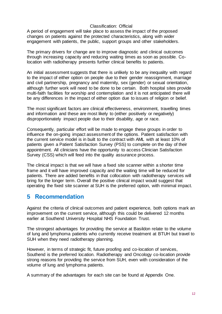A period of engagement will take place to assess the impact of the proposed changes on patients against the protected characteristics, along with wider engagement with patients, the public, support groups and other stakeholders.

The primary drivers for change are to improve diagnostic and clinical outcomes through increasing capacity and reducing waiting times as soon as possible. Colocation with radiotherapy presents further clinical benefits to patients.

An initial assessment suggests that there is unlikely to be any inequality with regard to the impact of either option on people due to their gender reassignment, marriage and civil partnership, pregnancy and maternity, sex (gender) or sexual orientation, although further work will need to be done to be certain. Both hospital sites provide multi-faith facilities for worship and contemplation and it is not anticipated there will be any differences in the impact of either option due to issues of religion or belief.

The most significant factors are clinical effectiveness, environment, travelling times and information and these are most likely to (either positively or negatively) disproportionately impact people due to their disability, age or race.

Consequently, particular effort will be made to engage these groups in order to influence the on-going impact assessment of the options. Patient satisfaction with the current service model is in built to the contract with AML with at least 10% of patients given a Patient Satisfaction Survey (PSS) to complete on the day of their appointment. All clinicians have the opportunity to access Clinician Satisfaction Survey (CSS) which will feed into the quality assurance process.

The clinical impact is that we will have a fixed site scanner within a shorter time frame and it will have improved capacity and the waiting time will be reduced for patients. There are added benefits in that collocation with radiotherapy services will bring for the longer term. Overall the positive clinical impact would suggest that operating the fixed site scanner at SUH is the preferred option, with minimal impact.

## <span id="page-11-0"></span>**5 Recommendation**

Against the criteria of clinical outcomes and patient experience, both options mark an improvement on the current service, although this could be delivered 12 months earlier at Southend University Hospital NHS Foundation Trust.

The strongest advantages for providing the service at Basildon relate to the volume of lung and lymphoma patients who currently receive treatment at BTUH but travel to SUH when they need radiotherapy planning.

However, in terms of strategic fit, future proofing and co-location of services, Southend is the preferred location. Radiotherapy and Oncology co-location provide strong reasons for providing the service from SUH, even with consideration of the volume of lung and lymphoma patients.

A summary of the advantages for each site can be found at Appendix One.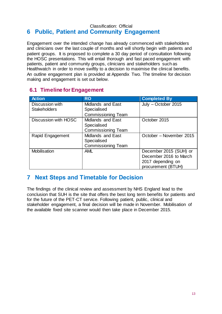#### <span id="page-12-0"></span>Classification: Official **6 Public, Patient and Community Engagement**

Engagement over the intended change has already commenced with stakeholders and clinicians over the last couple of months and will shortly begin with patients and patient groups. It is proposed to complete a 30 day period of consultation following the HOSC presentations. This will entail thorough and fast paced engagement with patients, patient and community groups, clinicians and stakeholders such as Healthwatch in order to move swiftly to a decision to maximise the clinical benefits. An outline engagement plan is provided at Appendix Two. The timeline for decision making and engagement is set out below.

## <span id="page-12-1"></span>**6.1 Timeline for Engagement**

| <b>Action</b>        | <b>RO</b>                 | <b>Completed By</b>     |
|----------------------|---------------------------|-------------------------|
| Discussion with      | Midlands and East         | July - October 2015     |
| <b>Stakeholders</b>  | Specialised               |                         |
|                      | <b>Commissioning Team</b> |                         |
| Discussion with HOSC | <b>Midlands and East</b>  | October 2015            |
|                      | Specialised               |                         |
|                      | <b>Commissioning Team</b> |                         |
| Rapid Engagement     | <b>Midlands and East</b>  | October – November 2015 |
|                      | Specialised               |                         |
|                      | <b>Commissioning Team</b> |                         |
| <b>Mobilisation</b>  | <b>AML</b>                | December 2015 (SUH) or  |
|                      |                           | December 2016 to March  |
|                      |                           | 2017 depending on       |
|                      |                           | procurement (BTUH)      |

## <span id="page-12-2"></span>**7 Next Steps and Timetable for Decision**

The findings of the clinical review and assessment by NHS England lead to the conclusion that SUH is the site that offers the best long term benefits for patients and for the future of the PET-CT service. Following patient, public, clinical and stakeholder engagement, a final decision will be made in November. Mobilisation of the available fixed site scanner would then take place in December 2015.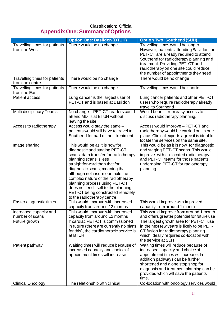## <span id="page-13-0"></span>Classification: Official **Appendix One: Summary of Options**

|                                                       | <b>Option One: Basildon (BTUH)</b>                                                                                                                                                                                                                                                                                                                                                                                          | <b>Option Two: Southend (SUH)</b>                                                                                                                                                                                                                                                                                                 |
|-------------------------------------------------------|-----------------------------------------------------------------------------------------------------------------------------------------------------------------------------------------------------------------------------------------------------------------------------------------------------------------------------------------------------------------------------------------------------------------------------|-----------------------------------------------------------------------------------------------------------------------------------------------------------------------------------------------------------------------------------------------------------------------------------------------------------------------------------|
| <b>Travelling times for patients</b><br>from the West | There would be no change                                                                                                                                                                                                                                                                                                                                                                                                    | Travelling times would be longer.<br>However, patients attending Basildon for<br>PET-CT are already required to attend<br>Southend for radiotherapy planning and<br>treatment. Providing PET-CT and<br>radiotherapy on one site could reduce<br>the number of appointments they need                                              |
| Travelling times for patients<br>from the centre      | There would be no change                                                                                                                                                                                                                                                                                                                                                                                                    | There would be no change                                                                                                                                                                                                                                                                                                          |
| Travelling times for patients<br>from the East        | There would be no change                                                                                                                                                                                                                                                                                                                                                                                                    | Travelling times would be shorter                                                                                                                                                                                                                                                                                                 |
| Patient access                                        | Lung cancer is the largest user of<br>PET-CT and is based at Basildon                                                                                                                                                                                                                                                                                                                                                       | Lung cancer patients and other PET-CT<br>users who require radiotherapy already<br>travel to Southend                                                                                                                                                                                                                             |
| Multi disciplinary Teams                              | No change - PET-CT readers could<br>attend MDTs at BTUH without<br>leaving the site.                                                                                                                                                                                                                                                                                                                                        | Would benefit from easy access to<br>discuss radiotherapy planning.                                                                                                                                                                                                                                                               |
| Access to radiotherapy                                | Access would stay the same -<br>patients would still have to travel to<br>Southend for part of their treatment                                                                                                                                                                                                                                                                                                              | Access would improve - PET-CT and<br>radiotherapy would be carried out in one<br>place. Clinical experts agree it is ideal to<br>locate the services on the same site.                                                                                                                                                            |
| Image sharing                                         | This would be as it is now for<br>diagnostic and staging PET-CT<br>scans. data transfer for radiotherapy<br>planning scans is less<br>straightforward than that for<br>diagnostic scans, meaning that<br>although not insurmountable the<br>complex nature of the radiotherapy<br>planning process using PET-CT<br>does not lend itself to the planning<br>PET-CT being constructed remotely<br>to the radiotherapy centre. | This would be as it is now for diagnostic<br>and staging PET-CT scans. This would<br>improve with co-located radiotherapy<br>and PET-CT teams for those patients<br>undergoing PET-CT for radiotherapy<br>planning                                                                                                                |
| Faster diagnostic times                               | This would improve with increased<br>capacity from around 12 months                                                                                                                                                                                                                                                                                                                                                         | This would improve with improved<br>capacity from around 1 month                                                                                                                                                                                                                                                                  |
| Increased capacity and<br>number of scans             | This would improve with increased<br>capacity from around 12 months                                                                                                                                                                                                                                                                                                                                                         | This would improve from around 1 month<br>and offers greater potential for future use                                                                                                                                                                                                                                             |
| Future growth                                         | If cardiac PET-CT is commissioned<br>in future (there are currently no plans<br>for this), the cardiothoracic service is<br>at BTUH                                                                                                                                                                                                                                                                                         | The largest growth area for PET-CT use<br>in the next few years is likely to be PET-<br>CT fusion for radiotherapy planning<br>which ideally requires co-location with<br>the service at SUH                                                                                                                                      |
| Patient pathway<br><b>Clinical Oncology</b>           | Waiting times will reduce because of<br>increased capacity and choice of<br>appointment times will increase<br>The relationship with clinical                                                                                                                                                                                                                                                                               | Waiting times will reduce because of<br>increased capacity and choice of<br>appointment times will increase. In<br>addition pathways can be further<br>shortened and a one stop shop for<br>diagnosis and treatment planning can be<br>provided which will save the patients<br>time.<br>Co-location with oncology services would |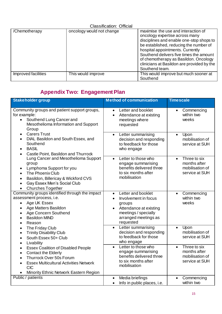|                     | <b>Classification: Official</b> |                                                                                                                                                                                                                                                                                                                                                     |
|---------------------|---------------------------------|-----------------------------------------------------------------------------------------------------------------------------------------------------------------------------------------------------------------------------------------------------------------------------------------------------------------------------------------------------|
| /Chemotherapy       | oncology would not change       | maximise the use and interaction of<br>oncology expertise across many<br>disciplines and enable one-stop shops to<br>be established, reducing the number of<br>hospital appointments. Currently<br>Southend delivers five times the amount<br>of chemotherapy as Basildon. Oncology<br>clinicians at Basildon are provided by the<br>Southend team. |
| Improved facilities | This would improve              | This would improve but much sooner at<br>Southend                                                                                                                                                                                                                                                                                                   |

## <span id="page-14-0"></span>**Appendix Two: Engagement Plan**

| <b>Stakeholder group</b>                                                                                                                                                                                                                                         | <b>Method of communication</b>                                                                                                                                                     | <b>Timescale</b>                                                               |
|------------------------------------------------------------------------------------------------------------------------------------------------------------------------------------------------------------------------------------------------------------------|------------------------------------------------------------------------------------------------------------------------------------------------------------------------------------|--------------------------------------------------------------------------------|
| Community groups and patient support groups,<br>for example:<br>Southend Lung Cancer and<br>$\bullet$<br>Mesothelioma Information and Support<br>Group                                                                                                           | Letter and booklet<br>$\bullet$<br>Attendance at existing<br>$\bullet$<br>meetings where<br>requested                                                                              | Commencing<br>$\bullet$<br>within two<br>weeks                                 |
| <b>Carers Trust</b><br>$\bullet$<br>DIAL Basildon and South Essex, and<br>$\bullet$<br>Southend<br><b>BASIL</b><br>$\bullet$<br>Castle Point, Basildon and Thurrock<br>$\bullet$                                                                                 | Letter summarising<br>$\bullet$<br>decision and responding<br>to feedback for those<br>who engage                                                                                  | Upon<br>$\bullet$<br>mobilisation of<br>service at SUH                         |
| Lung Cancer and Mesothelioma Support<br>group<br>Lymphoma Support for you<br>$\bullet$<br>The Phoenix Club<br>$\bullet$<br>Basildon, Billericay & Wickford CVS<br>$\bullet$<br>Gay Essex Men's Social Club<br>$\bullet$<br><b>Churches Together</b><br>$\bullet$ | Letter to those who<br>$\bullet$<br>engage summarising<br>benefits delivered three<br>to six months after<br>mobilisation                                                          | Three to six<br>$\bullet$<br>months after<br>mobilisation of<br>service at SUH |
| Community groups identified through the impact<br>assessment process, i.e.<br>Age UK Essex<br>$\bullet$<br>Age Matters Basildon<br>$\bullet$<br>Age Concern Southend<br>$\bullet$<br><b>Basildon MIND</b><br>$\bullet$<br>Reason<br>$\bullet$                    | Letter and booklet<br>$\bullet$<br>Involvement in focus<br>$\bullet$<br>groups<br>Attendance at existing<br>$\bullet$<br>meetings / specially<br>arranged meetings as<br>requested | Commencing<br>$\bullet$<br>within two<br>weeks                                 |
| The Friday Club<br>$\bullet$<br><b>Trinity Disability Club</b><br>$\bullet$<br>South Essex 50+ Club<br>$\bullet$<br>Livability<br>$\bullet$                                                                                                                      | Letter summarising<br>$\bullet$<br>decision and responding<br>to feedback for those<br>who engage                                                                                  | Upon<br>$\bullet$<br>mobilisation of<br>service at SUH                         |
| <b>Essex Coalition of Disabled People</b><br>$\bullet$<br><b>Contact the Elderly</b><br>$\bullet$<br>Thurrock Over 50s Forum<br>$\bullet$<br><b>Essex Multicultural Activities Network</b><br>$\bullet$<br><b>CIC</b><br>Minority Ethnic Network Eastern Region  | Letter to those who<br>$\bullet$<br>engage summarising<br>benefits delivered three<br>to six months after<br>mobilisation                                                          | Three to six<br>$\bullet$<br>months after<br>mobilisation of<br>service at SUH |
| Public / patients                                                                                                                                                                                                                                                | Media briefings<br>$\bullet$<br>Info in public places, i.e.<br>$\bullet$                                                                                                           | Commencing<br>$\bullet$<br>within two                                          |